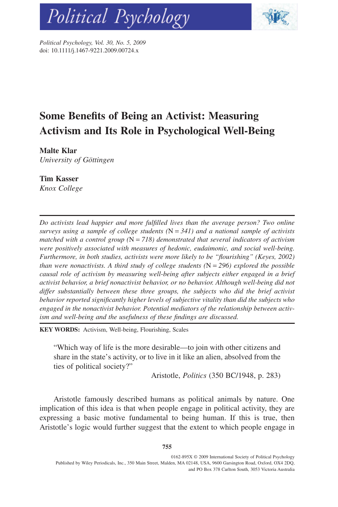Political Psychology

*Political Psychology, Vol. 30, No. 5, 2009* doi: 10.1111/j.1467-9221.2009.00724.x

# **Some Benefits of Being an Activist: Measuring** Activism and Its Role in Psychological Well-Being

**Malte Klar** *University of Göttingen*

**Tim Kasser** *Knox College*

*Do activists lead happier and more fulfilled lives than the average person? Two online surveys using a sample of college students (*N = *341) and a national sample of activists matched with a control group (*N = *718) demonstrated that several indicators of activism were positively associated with measures of hedonic, eudaimonic, and social well-being. Furthermore, in both studies, activists were more likely to be "flourishing" (Keyes, 2002) than were nonactivists. A third study of college students* ( $N = 296$ ) *explored the possible causal role of activism by measuring well-being after subjects either engaged in a brief activist behavior, a brief nonactivist behavior, or no behavior. Although well-being did not differ substantially between these three groups, the subjects who did the brief activist behavior reported significantly higher levels of subjective vitality than did the subjects who engaged in the nonactivist behavior. Potential mediators of the relationship between activism and well-being and the usefulness of these findings are discussed.*

**KEY WORDS:** Activism, Well-being, Flourishing, Scales

"Which way of life is the more desirable—to join with other citizens and share in the state's activity, or to live in it like an alien, absolved from the ties of political society?"

Aristotle, *Politics* (350 BC/1948, p. 283)

Aristotle famously described humans as political animals by nature. One implication of this idea is that when people engage in political activity, they are expressing a basic motive fundamental to being human. If this is true, then Aristotle's logic would further suggest that the extent to which people engage in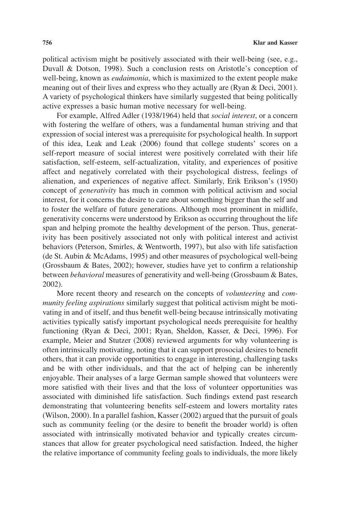political activism might be positively associated with their well-being (see, e.g., Duvall & Dotson, 1998). Such a conclusion rests on Aristotle's conception of well-being, known as *eudaimonia*, which is maximized to the extent people make meaning out of their lives and express who they actually are (Ryan & Deci, 2001). A variety of psychological thinkers have similarly suggested that being politically active expresses a basic human motive necessary for well-being.

For example, Alfred Adler (1938/1964) held that *social interest*, or a concern with fostering the welfare of others, was a fundamental human striving and that expression of social interest was a prerequisite for psychological health. In support of this idea, Leak and Leak (2006) found that college students' scores on a self-report measure of social interest were positively correlated with their life satisfaction, self-esteem, self-actualization, vitality, and experiences of positive affect and negatively correlated with their psychological distress, feelings of alienation, and experiences of negative affect. Similarly, Erik Erikson's (1950) concept of *generativity* has much in common with political activism and social interest, for it concerns the desire to care about something bigger than the self and to foster the welfare of future generations. Although most prominent in midlife, generativity concerns were understood by Erikson as occurring throughout the life span and helping promote the healthy development of the person. Thus, generativity has been positively associated not only with political interest and activist behaviors (Peterson, Smirles, & Wentworth, 1997), but also with life satisfaction (de St. Aubin & McAdams, 1995) and other measures of psychological well-being (Grossbaum & Bates, 2002); however, studies have yet to confirm a relationship between *behavioral* measures of generativity and well-being (Grossbaum & Bates, 2002).

More recent theory and research on the concepts of *volunteering* and *community feeling aspirations* similarly suggest that political activism might be motivating in and of itself, and thus benefit well-being because intrinsically motivating activities typically satisfy important psychological needs prerequisite for healthy functioning (Ryan & Deci, 2001; Ryan, Sheldon, Kasser, & Deci, 1996). For example, Meier and Stutzer (2008) reviewed arguments for why volunteering is often intrinsically motivating, noting that it can support prosocial desires to benefit others, that it can provide opportunities to engage in interesting, challenging tasks and be with other individuals, and that the act of helping can be inherently enjoyable. Their analyses of a large German sample showed that volunteers were more satisfied with their lives and that the loss of volunteer opportunities was associated with diminished life satisfaction. Such findings extend past research demonstrating that volunteering benefits self-esteem and lowers mortality rates (Wilson, 2000). In a parallel fashion, Kasser (2002) argued that the pursuit of goals such as community feeling (or the desire to benefit the broader world) is often associated with intrinsically motivated behavior and typically creates circumstances that allow for greater psychological need satisfaction. Indeed, the higher the relative importance of community feeling goals to individuals, the more likely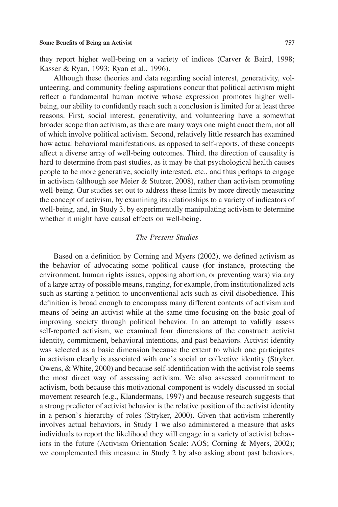they report higher well-being on a variety of indices (Carver & Baird, 1998; Kasser & Ryan, 1993; Ryan et al., 1996).

Although these theories and data regarding social interest, generativity, volunteering, and community feeling aspirations concur that political activism might reflect a fundamental human motive whose expression promotes higher wellbeing, our ability to confidently reach such a conclusion is limited for at least three reasons. First, social interest, generativity, and volunteering have a somewhat broader scope than activism, as there are many ways one might enact them, not all of which involve political activism. Second, relatively little research has examined how actual behavioral manifestations, as opposed to self-reports, of these concepts affect a diverse array of well-being outcomes. Third, the direction of causality is hard to determine from past studies, as it may be that psychological health causes people to be more generative, socially interested, etc., and thus perhaps to engage in activism (although see Meier & Stutzer, 2008), rather than activism promoting well-being. Our studies set out to address these limits by more directly measuring the concept of activism, by examining its relationships to a variety of indicators of well-being, and, in Study 3, by experimentally manipulating activism to determine whether it might have causal effects on well-being.

# *The Present Studies*

Based on a definition by Corning and Myers (2002), we defined activism as the behavior of advocating some political cause (for instance, protecting the environment, human rights issues, opposing abortion, or preventing wars) via any of a large array of possible means, ranging, for example, from institutionalized acts such as starting a petition to unconventional acts such as civil disobedience. This definition is broad enough to encompass many different contents of activism and means of being an activist while at the same time focusing on the basic goal of improving society through political behavior. In an attempt to validly assess self-reported activism, we examined four dimensions of the construct: activist identity, commitment, behavioral intentions, and past behaviors. Activist identity was selected as a basic dimension because the extent to which one participates in activism clearly is associated with one's social or collective identity (Stryker, Owens, & White, 2000) and because self-identification with the activist role seems the most direct way of assessing activism. We also assessed commitment to activism, both because this motivational component is widely discussed in social movement research (e.g., Klandermans, 1997) and because research suggests that a strong predictor of activist behavior is the relative position of the activist identity in a person's hierarchy of roles (Stryker, 2000). Given that activism inherently involves actual behaviors, in Study 1 we also administered a measure that asks individuals to report the likelihood they will engage in a variety of activist behaviors in the future (Activism Orientation Scale: AOS; Corning & Myers, 2002); we complemented this measure in Study 2 by also asking about past behaviors.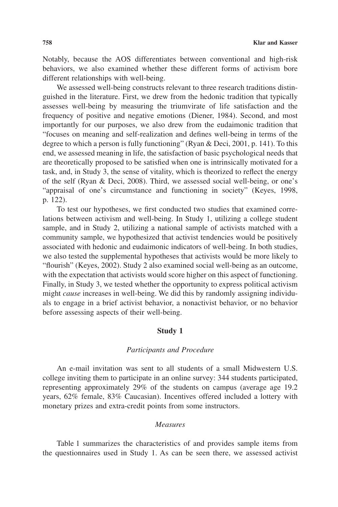Notably, because the AOS differentiates between conventional and high-risk behaviors, we also examined whether these different forms of activism bore different relationships with well-being.

We assessed well-being constructs relevant to three research traditions distinguished in the literature. First, we drew from the hedonic tradition that typically assesses well-being by measuring the triumvirate of life satisfaction and the frequency of positive and negative emotions (Diener, 1984). Second, and most importantly for our purposes, we also drew from the eudaimonic tradition that "focuses on meaning and self-realization and defines well-being in terms of the degree to which a person is fully functioning" (Ryan & Deci, 2001, p. 141). To this end, we assessed meaning in life, the satisfaction of basic psychological needs that are theoretically proposed to be satisfied when one is intrinsically motivated for a task, and, in Study 3, the sense of vitality, which is theorized to reflect the energy of the self (Ryan & Deci, 2008). Third, we assessed social well-being, or one's "appraisal of one's circumstance and functioning in society" (Keyes, 1998, p. 122).

To test our hypotheses, we first conducted two studies that examined correlations between activism and well-being. In Study 1, utilizing a college student sample, and in Study 2, utilizing a national sample of activists matched with a community sample, we hypothesized that activist tendencies would be positively associated with hedonic and eudaimonic indicators of well-being. In both studies, we also tested the supplemental hypotheses that activists would be more likely to "flourish" (Keyes, 2002). Study 2 also examined social well-being as an outcome, with the expectation that activists would score higher on this aspect of functioning. Finally, in Study 3, we tested whether the opportunity to express political activism might *cause* increases in well-being. We did this by randomly assigning individuals to engage in a brief activist behavior, a nonactivist behavior, or no behavior before assessing aspects of their well-being.

## **Study 1**

## *Participants and Procedure*

An e-mail invitation was sent to all students of a small Midwestern U.S. college inviting them to participate in an online survey: 344 students participated, representing approximately 29% of the students on campus (average age 19.2 years, 62% female, 83% Caucasian). Incentives offered included a lottery with monetary prizes and extra-credit points from some instructors.

## *Measures*

Table 1 summarizes the characteristics of and provides sample items from the questionnaires used in Study 1. As can be seen there, we assessed activist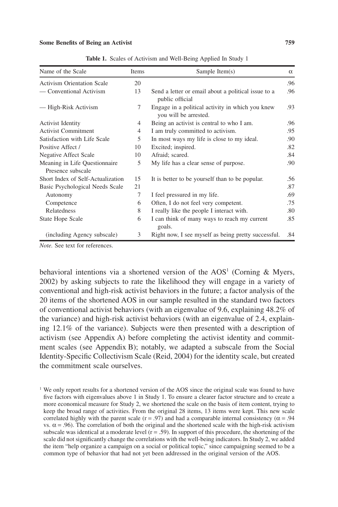| Name of the Scale                                  | Items          | Sample Item $(s)$                                                         |     |  |
|----------------------------------------------------|----------------|---------------------------------------------------------------------------|-----|--|
| <b>Activism Orientation Scale</b>                  | 20             |                                                                           | .96 |  |
| - Conventional Activism                            | 13             | Send a letter or email about a political issue to a<br>public official    | .96 |  |
| — High-Risk Activism                               | 7              | Engage in a political activity in which you knew<br>you will be arrested. | .93 |  |
| <b>Activist Identity</b>                           | 4              | Being an activist is central to who I am.                                 | .96 |  |
| <b>Activist Commitment</b>                         | $\overline{4}$ | I am truly committed to activism.                                         | .95 |  |
| Satisfaction with Life Scale                       | 5              | In most ways my life is close to my ideal.                                | .90 |  |
| Positive Affect /                                  | 10             | Excited; inspired.                                                        | .82 |  |
| <b>Negative Affect Scale</b>                       | 10             | Afraid; scared.                                                           | .84 |  |
| Meaning in Life Questionnaire<br>Presence subscale | 5              | My life has a clear sense of purpose.                                     | .90 |  |
| Short Index of Self-Actualization                  | 15             | It is better to be yourself than to be popular.                           | .56 |  |
| Basic Psychological Needs Scale                    | 21             |                                                                           | .87 |  |
| Autonomy                                           | 7              | I feel pressured in my life.                                              | .69 |  |
| Competence                                         | 6              | Often, I do not feel very competent.                                      | .75 |  |
| Relatedness                                        | 8              | I really like the people I interact with.                                 | .80 |  |
| State Hope Scale                                   | 6              | I can think of many ways to reach my current<br>goals.                    | .85 |  |
| (including Agency subscale)                        | 3              | Right now, I see myself as being pretty successful.                       | .84 |  |

**Table 1.** Scales of Activism and Well-Being Applied In Study 1

*Note.* See text for references.

behavioral intentions via a shortened version of the  $AOS<sup>1</sup>$  (Corning & Myers, 2002) by asking subjects to rate the likelihood they will engage in a variety of conventional and high-risk activist behaviors in the future; a factor analysis of the 20 items of the shortened AOS in our sample resulted in the standard two factors of conventional activist behaviors (with an eigenvalue of 9.6, explaining 48.2% of the variance) and high-risk activist behaviors (with an eigenvalue of 2.4, explaining 12.1% of the variance). Subjects were then presented with a description of activism (see Appendix A) before completing the activist identity and commitment scales (see Appendix B); notably, we adapted a subscale from the Social Identity-Specific Collectivism Scale (Reid, 2004) for the identity scale, but created the commitment scale ourselves.

<sup>&</sup>lt;sup>1</sup> We only report results for a shortened version of the AOS since the original scale was found to have five factors with eigenvalues above 1 in Study 1. To ensure a clearer factor structure and to create a more economical measure for Study 2, we shortened the scale on the basis of item content, trying to keep the broad range of activities. From the original 28 items, 13 items were kept. This new scale correlated highly with the parent scale ( $r = .97$ ) and had a comparable internal consistency ( $\alpha = .94$ ) vs.  $\alpha$  = .96). The correlation of both the original and the shortened scale with the high-risk activism subscale was identical at a moderate level  $(r = .59)$ . In support of this procedure, the shortening of the scale did not significantly change the correlations with the well-being indicators. In Study 2, we added the item "help organize a campaign on a social or political topic," since campaigning seemed to be a common type of behavior that had not yet been addressed in the original version of the AOS.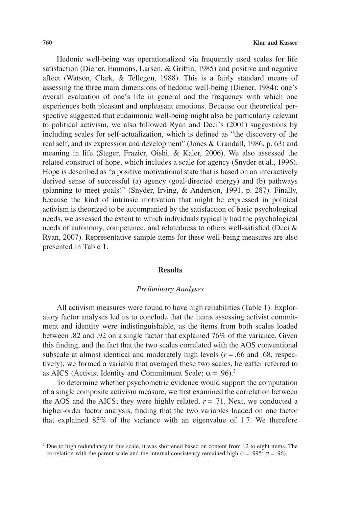Hedonic well-being was operationalized via frequently used scales for life satisfaction (Diener, Emmons, Larsen, & Griffin, 1985) and positive and negative affect (Watson, Clark, & Tellegen, 1988). This is a fairly standard means of assessing the three main dimensions of hedonic well-being (Diener, 1984): one's overall evaluation of one's life in general and the frequency with which one experiences both pleasant and unpleasant emotions. Because our theoretical perspective suggested that eudaimonic well-being might also be particularly relevant to political activism, we also followed Ryan and Deci's (2001) suggestions by including scales for self-actualization, which is defined as "the discovery of the real self, and its expression and development" (Jones & Crandall, 1986, p. 63) and meaning in life (Steger, Frazier, Oishi, & Kaler, 2006). We also assessed the related construct of hope, which includes a scale for agency (Snyder et al., 1996). Hope is described as "a positive motivational state that is based on an interactively derived sense of successful (a) agency (goal-directed energy) and (b) pathways (planning to meet goals)" (Snyder, Irving, & Anderson, 1991, p. 287). Finally, because the kind of intrinsic motivation that might be expressed in political activism is theorized to be accompanied by the satisfaction of basic psychological needs, we assessed the extent to which individuals typically had the psychological needs of autonomy, competence, and relatedness to others well-satisfied (Deci & Ryan, 2007). Representative sample items for these well-being measures are also presented in Table 1.

#### **Results**

#### *Preliminary Analyses*

All activism measures were found to have high reliabilities (Table 1). Exploratory factor analyses led us to conclude that the items assessing activist commitment and identity were indistinguishable, as the items from both scales loaded between .82 and .92 on a single factor that explained 76% of the variance. Given this finding, and the fact that the two scales correlated with the AOS conventional subscale at almost identical and moderately high levels  $(r = .66$  and  $.68$ , respectively), we formed a variable that averaged these two scales, hereafter referred to as AICS (Activist Identity and Commitment Scale;  $\alpha = .96$ ).<sup>2</sup>

To determine whether psychometric evidence would support the computation of a single composite activism measure, we first examined the correlation between the AOS and the AICS; they were highly related,  $r = .71$ . Next, we conducted a higher-order factor analysis, finding that the two variables loaded on one factor that explained 85% of the variance with an eigenvalue of 1.7. We therefore

 $2^2$  Due to high redundancy in this scale, it was shortened based on content from 12 to eight items. The correlation with the parent scale and the internal consistency remained high ( $r = .995$ ;  $\alpha = .96$ ).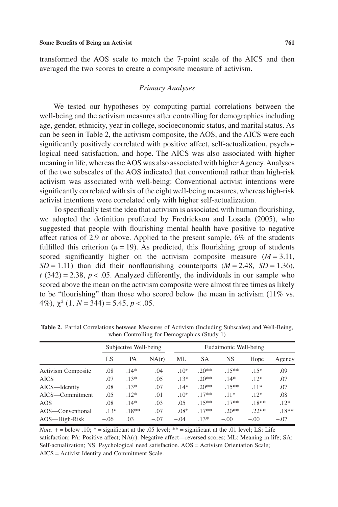transformed the AOS scale to match the 7-point scale of the AICS and then averaged the two scores to create a composite measure of activism.

#### *Primary Analyses*

We tested our hypotheses by computing partial correlations between the well-being and the activism measures after controlling for demographics including age, gender, ethnicity, year in college, socioeconomic status, and marital status. As can be seen in Table 2, the activism composite, the AOS, and the AICS were each significantly positively correlated with positive affect, self-actualization, psychological need satisfaction, and hope. The AICS was also associated with higher meaning in life, whereas the AOS was also associated with higher Agency. Analyses of the two subscales of the AOS indicated that conventional rather than high-risk activism was associated with well-being: Conventional activist intentions were significantly correlated with six of the eight well-being measures, whereas high-risk activist intentions were correlated only with higher self-actualization.

To specifically test the idea that activism is associated with human flourishing, we adopted the definition proffered by Fredrickson and Losada (2005), who suggested that people with flourishing mental health have positive to negative affect ratios of 2.9 or above. Applied to the present sample, 6% of the students fulfilled this criterion  $(n = 19)$ . As predicted, this flourishing group of students scored significantly higher on the activism composite measure  $(M = 3.11)$ ,  $SD = 1.11$ ) than did their nonflourishing counterparts ( $M = 2.48$ ,  $SD = 1.36$ ),  $t(342) = 2.38$ ,  $p < .05$ . Analyzed differently, the individuals in our sample who scored above the mean on the activism composite were almost three times as likely to be "flourishing" than those who scored below the mean in activism (11% vs. 4%),  $\chi^2$  (1, *N* = 344) = 5.45, *p* < .05.

|                           | Subjective Well-being |         |        |           | Eudaimonic Well-being |          |         |         |  |
|---------------------------|-----------------------|---------|--------|-----------|-----------------------|----------|---------|---------|--|
|                           | LS                    | РA      | NA(r)  | ML        | SA                    | NS       | Hope    | Agency  |  |
| <b>Activism Composite</b> | .08                   | $.14*$  | .04    | $.10^{+}$ | $.20**$               | $.15***$ | $.15*$  | .09     |  |
| AICS                      | .07                   | $.13*$  | .05    | $.13*$    | $.20**$               | $.14*$   | $.12*$  | .07     |  |
| AICS-Identity             | .08                   | $.13*$  | .07    | $.14*$    | $.20**$               | $.15**$  | $.11*$  | .07     |  |
| AICS-Commitment           | .05                   | $.12*$  | .01    | $.10^{+}$ | $.17**$               | $.11*$   | $.12*$  | .08     |  |
| AOS                       | .08                   | $.14*$  | .03    | .05       | $.15**$               | $.17**$  | $.18**$ | $.12*$  |  |
| AOS—Conventional          | $.13*$                | $.18**$ | .07    | $.08+$    | $.17**$               | $.20**$  | $.22**$ | $.18**$ |  |
| AOS—High-Risk             | $-.06$                | .03     | $-.07$ | $-.04$    | $.13*$                | $-.00$   | $-.00$  | $-.07$  |  |
|                           |                       |         |        |           |                       |          |         |         |  |

**Table 2.** Partial Correlations between Measures of Activism (Including Subscales) and Well-Being, when Controlling for Demographics (Study 1)

*Note.*  $+$  = below .10;  $*$  = significant at the .05 level;  $**$  = significant at the .01 level; LS: Life satisfaction; PA: Positive affect; NA(r): Negative affect—reversed scores; ML: Meaning in life; SA: Self-actualization; NS: Psychological need satisfaction. AOS = Activism Orientation Scale; AICS = Activist Identity and Commitment Scale.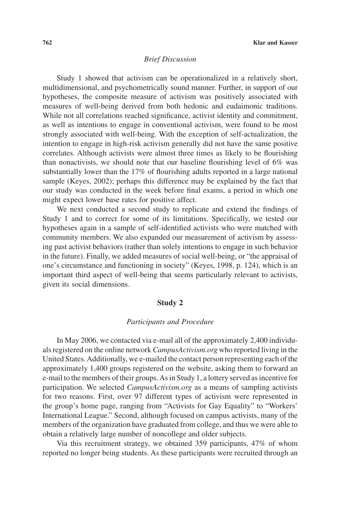## *Brief Discussion*

Study 1 showed that activism can be operationalized in a relatively short, multidimensional, and psychometrically sound manner. Further, in support of our hypotheses, the composite measure of activism was positively associated with measures of well-being derived from both hedonic and eudaimonic traditions. While not all correlations reached significance, activist identity and commitment, as well as intentions to engage in conventional activism, were found to be most strongly associated with well-being. With the exception of self-actualization, the intention to engage in high-risk activism generally did not have the same positive correlates. Although activists were almost three times as likely to be flourishing than nonactivists, we should note that our baseline flourishing level of  $6\%$  was substantially lower than the 17% of flourishing adults reported in a large national sample (Keyes, 2002); perhaps this difference may be explained by the fact that our study was conducted in the week before final exams, a period in which one might expect lower base rates for positive affect.

We next conducted a second study to replicate and extend the findings of Study 1 and to correct for some of its limitations. Specifically, we tested our hypotheses again in a sample of self-identified activists who were matched with community members. We also expanded our measurement of activism by assessing past activist behaviors (rather than solely intentions to engage in such behavior in the future). Finally, we added measures of social well-being, or "the appraisal of one's circumstance and functioning in society" (Keyes, 1998, p. 124), which is an important third aspect of well-being that seems particularly relevant to activists, given its social dimensions.

#### **Study 2**

# *Participants and Procedure*

In May 2006, we contacted via e-mail all of the approximately 2,400 individuals registered on the online network *CampusActivism.org* who reported living in the United States.Additionally, we e-mailed the contact person representing each of the approximately 1,400 groups registered on the website, asking them to forward an e-mail to the members of their groups.As in Study 1, a lottery served as incentive for participation. We selected *CampusActivism.org* as a means of sampling activists for two reasons. First, over 97 different types of activism were represented in the group's home page, ranging from "Activists for Gay Equality" to "Workers' International League." Second, although focused on campus activists, many of the members of the organization have graduated from college, and thus we were able to obtain a relatively large number of noncollege and older subjects.

Via this recruitment strategy, we obtained 359 participants, 47% of whom reported no longer being students. As these participants were recruited through an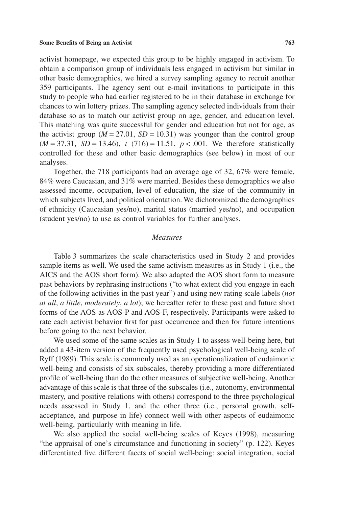activist homepage, we expected this group to be highly engaged in activism. To obtain a comparison group of individuals less engaged in activism but similar in other basic demographics, we hired a survey sampling agency to recruit another 359 participants. The agency sent out e-mail invitations to participate in this study to people who had earlier registered to be in their database in exchange for chances to win lottery prizes. The sampling agency selected individuals from their database so as to match our activist group on age, gender, and education level. This matching was quite successful for gender and education but not for age, as the activist group  $(M = 27.01, SD = 10.31)$  was younger than the control group  $(M = 37.31, SD = 13.46), t(716) = 11.51, p < .001$ . We therefore statistically controlled for these and other basic demographics (see below) in most of our analyses.

Together, the 718 participants had an average age of 32, 67% were female, 84% were Caucasian, and 31% were married. Besides these demographics we also assessed income, occupation, level of education, the size of the community in which subjects lived, and political orientation. We dichotomized the demographics of ethnicity (Caucasian yes/no), marital status (married yes/no), and occupation (student yes/no) to use as control variables for further analyses.

# *Measures*

Table 3 summarizes the scale characteristics used in Study 2 and provides sample items as well. We used the same activism measures as in Study 1 (i.e., the AICS and the AOS short form). We also adapted the AOS short form to measure past behaviors by rephrasing instructions ("to what extent did you engage in each of the following activities in the past year") and using new rating scale labels (*not at all*, *a little*, *moderately*, *a lot*); we hereafter refer to these past and future short forms of the AOS as AOS-P and AOS-F, respectively. Participants were asked to rate each activist behavior first for past occurrence and then for future intentions before going to the next behavior.

We used some of the same scales as in Study 1 to assess well-being here, but added a 43-item version of the frequently used psychological well-being scale of Ryff (1989). This scale is commonly used as an operationalization of eudaimonic well-being and consists of six subscales, thereby providing a more differentiated profile of well-being than do the other measures of subjective well-being. Another advantage of this scale is that three of the subscales (i.e., autonomy, environmental mastery, and positive relations with others) correspond to the three psychological needs assessed in Study 1, and the other three (i.e., personal growth, selfacceptance, and purpose in life) connect well with other aspects of eudaimonic well-being, particularly with meaning in life.

We also applied the social well-being scales of Keyes (1998), measuring "the appraisal of one's circumstance and functioning in society" (p. 122). Keyes differentiated five different facets of social well-being: social integration, social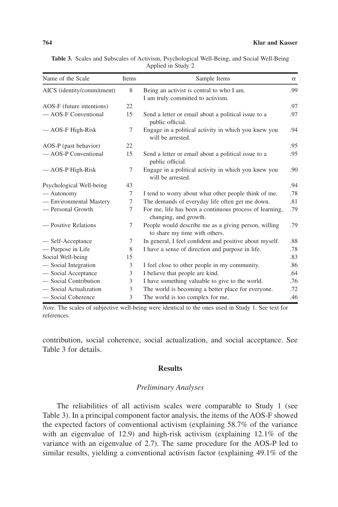| Name of the Scale          | Items  | Sample Items                                                                          | $\alpha$ |
|----------------------------|--------|---------------------------------------------------------------------------------------|----------|
| AICS (identity/commitment) | 8      | Being an activist is central to who I am.<br>I am truly committed to activism.        | .99      |
| AOS-F (future intentions)  | 22     |                                                                                       | .97      |
| - AOS-F Conventional       | 15     | Send a letter or email about a political issue to a<br>public official.               | .97      |
| — AOS-F High-Risk          | 7      | Engage in a political activity in which you knew you<br>will be arrested.             | .94      |
| AOS-P (past behavior)      | 22     |                                                                                       | .95      |
| — AOS-P Conventional       | 15     | Send a letter or email about a political issue to a<br>public official.               | .95      |
| — AOS-P High-Risk          | 7      | Engage in a political activity in which you knew you<br>will be arrested.             | .90      |
| Psychological Well-being   | 43     |                                                                                       | .94      |
| — Autonomy                 | $\tau$ | I tend to worry about what other people think of me.                                  | .78      |
| - Environmental Mastery    | $\tau$ | The demands of everyday life often get me down.                                       | .81      |
| - Personal Growth          | 7      | For me, life has been a continuous process of learning,<br>changing, and growth.      | .79      |
| — Positive Relations       | 7      | People would describe me as a giving person, willing<br>to share my time with others. | .79      |
| - Self-Acceptance          | 7      | In general, I feel confident and positive about myself.                               | .88      |
| - Purpose in Life          | 8      | I have a sense of direction and purpose in life.                                      | .78      |
| Social Well-being          | 15     |                                                                                       | .83      |
| — Social Integration       | 3      | I feel close to other people in my community.                                         | .86      |
| - Social Acceptance        | 3      | I believe that people are kind.                                                       | .64      |
| - Social Contribution      | 3      | I have something valuable to give to the world.                                       | .76      |
| — Social Actualization     | 3      | The world is becoming a better place for everyone.                                    | .72      |
| - Social Coherence         | 3      | The world is too complex for me.                                                      | .46      |

**Table 3.** Scales and Subscales of Activism, Psychological Well-Being, and Social Well-Being Applied in Study 2

*Note.* The scales of subjective well-being were identical to the ones used in Study 1. See text for references.

contribution, social coherence, social actualization, and social acceptance. See Table 3 for details.

## **Results**

#### *Preliminary Analyses*

The reliabilities of all activism scales were comparable to Study 1 (see Table 3). In a principal component factor analysis, the items of the AOS-F showed the expected factors of conventional activism (explaining 58.7% of the variance with an eigenvalue of 12.9) and high-risk activism (explaining 12.1% of the variance with an eigenvalue of 2.7). The same procedure for the AOS-P led to similar results, yielding a conventional activism factor (explaining 49.1% of the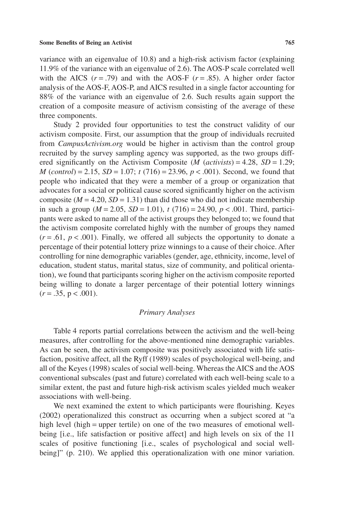variance with an eigenvalue of 10.8) and a high-risk activism factor (explaining 11.9% of the variance with an eigenvalue of 2.6). The AOS-P scale correlated well with the AICS  $(r = .79)$  and with the AOS-F  $(r = .85)$ . A higher order factor analysis of the AOS-F, AOS-P, and AICS resulted in a single factor accounting for 88% of the variance with an eigenvalue of 2.6. Such results again support the creation of a composite measure of activism consisting of the average of these three components.

Study 2 provided four opportunities to test the construct validity of our activism composite. First, our assumption that the group of individuals recruited from *CampusActivism.org* would be higher in activism than the control group recruited by the survey sampling agency was supported, as the two groups differed significantly on the Activism Composite  $(M$  (*activists*) = 4.28, *SD* = 1.29; *M* (*control*) = 2.15, *SD* = 1.07; *t* (716) = 23.96,  $p < .001$ ). Second, we found that people who indicated that they were a member of a group or organization that advocates for a social or political cause scored significantly higher on the activism composite ( $M = 4.20$ ,  $SD = 1.31$ ) than did those who did not indicate membership in such a group ( $M = 2.05$ ,  $SD = 1.01$ ),  $t(716) = 24.90$ ,  $p < .001$ . Third, participants were asked to name all of the activist groups they belonged to; we found that the activism composite correlated highly with the number of groups they named  $(r = .61, p < .001)$ . Finally, we offered all subjects the opportunity to donate a percentage of their potential lottery prize winnings to a cause of their choice. After controlling for nine demographic variables (gender, age, ethnicity, income, level of education, student status, marital status, size of community, and political orientation), we found that participants scoring higher on the activism composite reported being willing to donate a larger percentage of their potential lottery winnings  $(r = .35, p < .001)$ .

## *Primary Analyses*

Table 4 reports partial correlations between the activism and the well-being measures, after controlling for the above-mentioned nine demographic variables. As can be seen, the activism composite was positively associated with life satisfaction, positive affect, all the Ryff (1989) scales of psychological well-being, and all of the Keyes (1998) scales of social well-being. Whereas the AICS and the AOS conventional subscales (past and future) correlated with each well-being scale to a similar extent, the past and future high-risk activism scales yielded much weaker associations with well-being.

We next examined the extent to which participants were flourishing. Keyes (2002) operationalized this construct as occurring when a subject scored at "a high level (high = upper tertile) on one of the two measures of emotional wellbeing [i.e., life satisfaction or positive affect] and high levels on six of the 11 scales of positive functioning [i.e., scales of psychological and social wellbeing]" (p. 210). We applied this operationalization with one minor variation.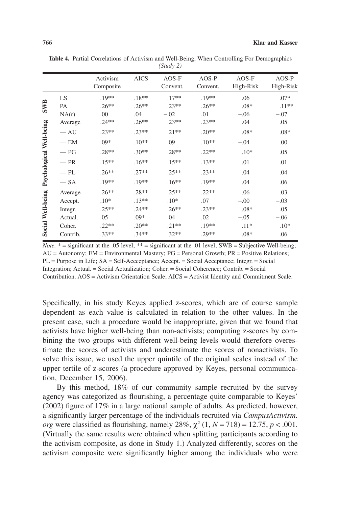|                          |          | Activism<br>Composite | <b>AICS</b> | $AOS-F$<br>Convent. | $AOS-P$<br>Convent. | $AOS-F$<br>High-Risk | $AOS-P$<br>High-Risk |
|--------------------------|----------|-----------------------|-------------|---------------------|---------------------|----------------------|----------------------|
|                          | LS       | $.19**$               | $.18**$     | $.17**$             | $.19**$             | .06                  | $.07*$               |
| <b>SWB</b>               | PA       | $.26**$               | $.26**$     | $.23**$             | $.26**$             | $.08*$               | $.11**$              |
|                          | NA(r)    | .00                   | .04         | $-.02$              | .01                 | $-.06$               | $-.07$               |
|                          | Average  | $.24**$               | $.26**$     | $.23**$             | $.23**$             | .04                  | .05                  |
| Psychological Well-being | $- AU$   | $.23**$               | $.23**$     | $.21**$             | $.20**$             | $.08*$               | $.08*$               |
|                          | $-EM$    | $.09*$                | $.10**$     | .09                 | $.10**$             | $-.04$               | .00                  |
|                          | $- PG$   | $.28**$               | $.30**$     | $.28**$             | $.22**$             | $.10*$               | .05                  |
|                          | $-$ PR   | $.15***$              | $.16***$    | $.15***$            | $.13***$            | .01                  | .01                  |
|                          | $-PL$    | $.26**$               | $.27**$     | $.25**$             | $.23**$             | .04                  | .04                  |
|                          | $- SA$   | $.19**$               | $.19**$     | $.16***$            | $.19**$             | .04                  | .06                  |
|                          | Average  | $.26**$               | $.28**$     | $.25**$             | $.22**$             | .06                  | .03                  |
| Social Well-being        | Accept.  | $.10*$                | $.13**$     | $.10*$              | .07                 | $-.00$               | $-.03$               |
|                          | Integr.  | $.25***$              | $.24***$    | $.26**$             | $.23**$             | $.08*$               | .05                  |
|                          | Actual.  | .05                   | $.09*$      | .04                 | .02                 | $-.05$               | $-.06$               |
|                          | Coher.   | $.22**$               | $.20**$     | $.21**$             | .19**               | $.11*$               | $.10*$               |
|                          | Contrib. | $.33**$               | $.34***$    | $.32**$             | $.29**$             | $.08*$               | .06                  |
|                          |          |                       |             |                     |                     |                      |                      |

**Table 4.** Partial Correlations of Activism and Well-Being, When Controlling For Demographics *(Study 2)*

*Note.*  $*$  = significant at the .05 level; \*\* = significant at the .01 level; SWB = Subjective Well-being;  $AU =$  Autonomy;  $EM =$  Environmental Mastery;  $PG =$  Personal Growth;  $PR =$  Positive Relations; PL = Purpose in Life; SA = Self-Accceptance; Accept. = Social Acceptance; Integr. = Social Integration; Actual. = Social Actualization; Coher. = Social Coherence; Contrib. = Social Contribution. AOS = Activism Orientation Scale; AICS = Activist Identity and Commitment Scale.

Specifically, in his study Keyes applied z-scores, which are of course sample dependent as each value is calculated in relation to the other values. In the present case, such a procedure would be inappropriate, given that we found that activists have higher well-being than non-activists; computing z-scores by combining the two groups with different well-being levels would therefore overestimate the scores of activists and underestimate the scores of nonactivists. To solve this issue, we used the upper quintile of the original scales instead of the upper tertile of z-scores (a procedure approved by Keyes, personal communication, December 15, 2006).

By this method, 18% of our community sample recruited by the survey agency was categorized as flourishing, a percentage quite comparable to Keyes' (2002) figure of 17% in a large national sample of adults. As predicted, however, a significantly larger percentage of the individuals recruited via *CampusActivism. org* were classified as flourishing, namely 28%,  $\chi^2$  (1, *N* = 718) = 12.75, *p* < .001. (Virtually the same results were obtained when splitting participants according to the activism composite, as done in Study 1.) Analyzed differently, scores on the activism composite were significantly higher among the individuals who were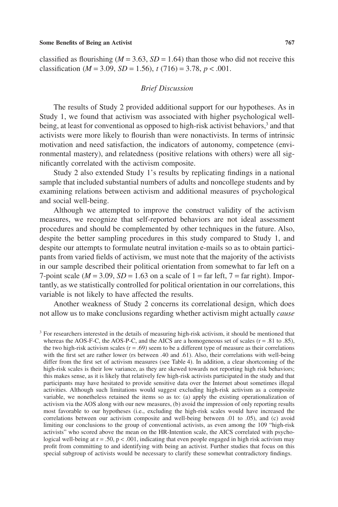classified as flourishing ( $M = 3.63$ ,  $SD = 1.64$ ) than those who did not receive this classification ( $M = 3.09$ ,  $SD = 1.56$ ),  $t(716) = 3.78$ ,  $p < .001$ .

# *Brief Discussion*

The results of Study 2 provided additional support for our hypotheses. As in Study 1, we found that activism was associated with higher psychological wellbeing, at least for conventional as opposed to high-risk activist behaviors,<sup>3</sup> and that activists were more likely to flourish than were nonactivists. In terms of intrinsic motivation and need satisfaction, the indicators of autonomy, competence (environmental mastery), and relatedness (positive relations with others) were all significantly correlated with the activism composite.

Study 2 also extended Study 1's results by replicating findings in a national sample that included substantial numbers of adults and noncollege students and by examining relations between activism and additional measures of psychological and social well-being.

Although we attempted to improve the construct validity of the activism measures, we recognize that self-reported behaviors are not ideal assessment procedures and should be complemented by other techniques in the future. Also, despite the better sampling procedures in this study compared to Study 1, and despite our attempts to formulate neutral invitation e-mails so as to obtain participants from varied fields of activism, we must note that the majority of the activists in our sample described their political orientation from somewhat to far left on a 7-point scale ( $M = 3.09$ ,  $SD = 1.63$  on a scale of  $1 = \text{far left}$ ,  $7 = \text{far right}$ ). Importantly, as we statistically controlled for political orientation in our correlations, this variable is not likely to have affected the results.

Another weakness of Study 2 concerns its correlational design, which does not allow us to make conclusions regarding whether activism might actually *cause*

 $3$  For researchers interested in the details of measuring high-risk activism, it should be mentioned that whereas the AOS-F-C, the AOS-P-C, and the AICS are a homogeneous set of scales ( $r = .81$  to  $.85$ ), the two high-risk activism scales  $(r = .69)$  seem to be a different type of measure as their correlations with the first set are rather lower (rs between .40 and .61). Also, their correlations with well-being differ from the first set of activism measures (see Table 4). In addition, a clear shortcoming of the high-risk scales is their low variance, as they are skewed towards not reporting high risk behaviors; this makes sense, as it is likely that relatively few high-risk activists participated in the study and that participants may have hesitated to provide sensitive data over the Internet about sometimes illegal activities. Although such limitations would suggest excluding high-risk activism as a composite variable, we nonetheless retained the items so as to: (a) apply the existing operationalization of activism via the AOS along with our new measures, (b) avoid the impression of only reporting results most favorable to our hypotheses (i.e., excluding the high-risk scales would have increased the correlations between our activism composite and well-being between .01 to .05), and (c) avoid limiting our conclusions to the group of conventional activists, as even among the 109 "high-risk activists" who scored above the mean on the HR-Intention scale, the AICS correlated with psychological well-being at  $r = .50$ ,  $p < .001$ , indicating that even people engaged in high risk activism may profit from committing to and identifying with being an activist. Further studies that focus on this special subgroup of activists would be necessary to clarify these somewhat contradictory findings.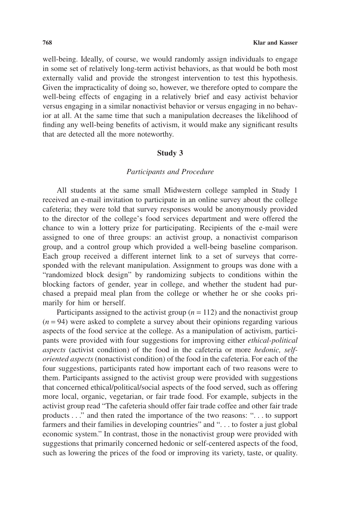well-being. Ideally, of course, we would randomly assign individuals to engage in some set of relatively long-term activist behaviors, as that would be both most externally valid and provide the strongest intervention to test this hypothesis. Given the impracticality of doing so, however, we therefore opted to compare the well-being effects of engaging in a relatively brief and easy activist behavior versus engaging in a similar nonactivist behavior or versus engaging in no behavior at all. At the same time that such a manipulation decreases the likelihood of finding any well-being benefits of activism, it would make any significant results that are detected all the more noteworthy.

#### **Study 3**

## *Participants and Procedure*

All students at the same small Midwestern college sampled in Study 1 received an e-mail invitation to participate in an online survey about the college cafeteria; they were told that survey responses would be anonymously provided to the director of the college's food services department and were offered the chance to win a lottery prize for participating. Recipients of the e-mail were assigned to one of three groups: an activist group, a nonactivist comparison group, and a control group which provided a well-being baseline comparison. Each group received a different internet link to a set of surveys that corresponded with the relevant manipulation. Assignment to groups was done with a "randomized block design" by randomizing subjects to conditions within the blocking factors of gender, year in college, and whether the student had purchased a prepaid meal plan from the college or whether he or she cooks primarily for him or herself.

Participants assigned to the activist group  $(n = 112)$  and the nonactivist group  $(n = 94)$  were asked to complete a survey about their opinions regarding various aspects of the food service at the college. As a manipulation of activism, participants were provided with four suggestions for improving either *ethical-political aspects* (activist condition) of the food in the cafeteria or more *hedonic, selforiented aspects* (nonactivist condition) of the food in the cafeteria. For each of the four suggestions, participants rated how important each of two reasons were to them. Participants assigned to the activist group were provided with suggestions that concerned ethical/political/social aspects of the food served, such as offering more local, organic, vegetarian, or fair trade food. For example, subjects in the activist group read "The cafeteria should offer fair trade coffee and other fair trade products . . ." and then rated the importance of the two reasons: ". . . to support farmers and their families in developing countries" and "... to foster a just global economic system." In contrast, those in the nonactivist group were provided with suggestions that primarily concerned hedonic or self-centered aspects of the food, such as lowering the prices of the food or improving its variety, taste, or quality.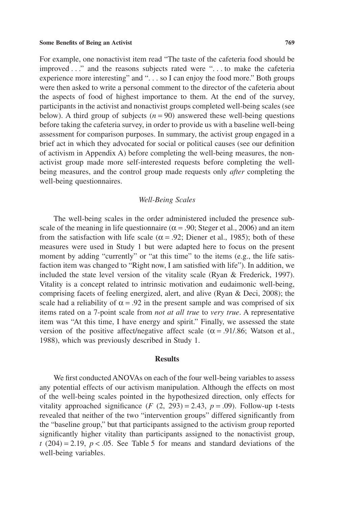For example, one nonactivist item read "The taste of the cafeteria food should be improved . . ." and the reasons subjects rated were ". . . to make the cafeteria experience more interesting" and ". . . so I can enjoy the food more." Both groups were then asked to write a personal comment to the director of the cafeteria about the aspects of food of highest importance to them. At the end of the survey, participants in the activist and nonactivist groups completed well-being scales (see below). A third group of subjects  $(n = 90)$  answered these well-being questions before taking the cafeteria survey, in order to provide us with a baseline well-being assessment for comparison purposes. In summary, the activist group engaged in a brief act in which they advocated for social or political causes (see our definition of activism in Appendix A) before completing the well-being measures, the nonactivist group made more self-interested requests before completing the wellbeing measures, and the control group made requests only *after* completing the well-being questionnaires.

## *Well-Being Scales*

The well-being scales in the order administered included the presence subscale of the meaning in life questionnaire ( $\alpha$  = .90; Steger et al., 2006) and an item from the satisfaction with life scale ( $\alpha$  = .92; Diener et al., 1985); both of these measures were used in Study 1 but were adapted here to focus on the present moment by adding "currently" or "at this time" to the items (e.g., the life satisfaction item was changed to "Right now, I am satisfied with life"). In addition, we included the state level version of the vitality scale (Ryan & Frederick, 1997). Vitality is a concept related to intrinsic motivation and eudaimonic well-being, comprising facets of feeling energized, alert, and alive (Ryan & Deci, 2008); the scale had a reliability of  $\alpha = .92$  in the present sample and was comprised of six items rated on a 7-point scale from *not at all true* to *very true*. A representative item was "At this time, I have energy and spirit." Finally, we assessed the state version of the positive affect/negative affect scale ( $\alpha = .91/0.86$ ; Watson et al., 1988), which was previously described in Study 1.

## **Results**

We first conducted ANOVAs on each of the four well-being variables to assess any potential effects of our activism manipulation. Although the effects on most of the well-being scales pointed in the hypothesized direction, only effects for vitality approached significance  $(F (2, 293) = 2.43, p = .09)$ . Follow-up t-tests revealed that neither of the two "intervention groups" differed significantly from the "baseline group," but that participants assigned to the activism group reported significantly higher vitality than participants assigned to the nonactivist group,  $t(204) = 2.19$ ,  $p < .05$ . See Table 5 for means and standard deviations of the well-being variables.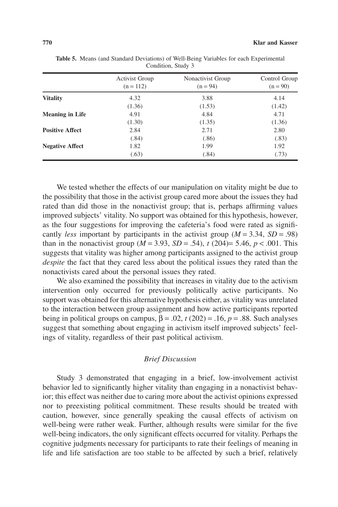|                        | <b>Activist Group</b><br>$(n = 112)$ | Nonactivist Group<br>$(n = 94)$ | Control Group<br>$(n = 90)$ |
|------------------------|--------------------------------------|---------------------------------|-----------------------------|
| <b>Vitality</b>        | 4.32                                 | 3.88                            | 4.14                        |
|                        | (1.36)                               | (1.53)                          | (1.42)                      |
| <b>Meaning in Life</b> | 4.91                                 | 4.84                            | 4.71                        |
|                        | (1.30)                               | (1.35)                          | (1.36)                      |
| <b>Positive Affect</b> | 2.84                                 | 2.71                            | 2.80                        |
|                        | (.84)                                | (.86)                           | (.83)                       |
| <b>Negative Affect</b> | 1.82                                 | 1.99                            | 1.92                        |
|                        | (.63)                                | (.84)                           | (.73)                       |

**Table 5.** Means (and Standard Deviations) of Well-Being Variables for each Experimental Condition, Study 3

We tested whether the effects of our manipulation on vitality might be due to the possibility that those in the activist group cared more about the issues they had rated than did those in the nonactivist group; that is, perhaps affirming values improved subjects' vitality. No support was obtained for this hypothesis, however, as the four suggestions for improving the cafeteria's food were rated as significantly *less* important by participants in the activist group  $(M = 3.34, SD = .98)$ than in the nonactivist group  $(M = 3.93, SD = .54)$ ,  $t(204)=5.46, p < .001$ . This suggests that vitality was higher among participants assigned to the activist group *despite* the fact that they cared less about the political issues they rated than the nonactivists cared about the personal issues they rated.

We also examined the possibility that increases in vitality due to the activism intervention only occurred for previously politically active participants. No support was obtained for this alternative hypothesis either, as vitality was unrelated to the interaction between group assignment and how active participants reported being in political groups on campus,  $\beta = .02$ ,  $t(202) = .16$ ,  $p = .88$ . Such analyses suggest that something about engaging in activism itself improved subjects' feelings of vitality, regardless of their past political activism.

# *Brief Discussion*

Study 3 demonstrated that engaging in a brief, low-involvement activist behavior led to significantly higher vitality than engaging in a nonactivist behavior; this effect was neither due to caring more about the activist opinions expressed nor to preexisting political commitment. These results should be treated with caution, however, since generally speaking the causal effects of activism on well-being were rather weak. Further, although results were similar for the five well-being indicators, the only significant effects occurred for vitality. Perhaps the cognitive judgments necessary for participants to rate their feelings of meaning in life and life satisfaction are too stable to be affected by such a brief, relatively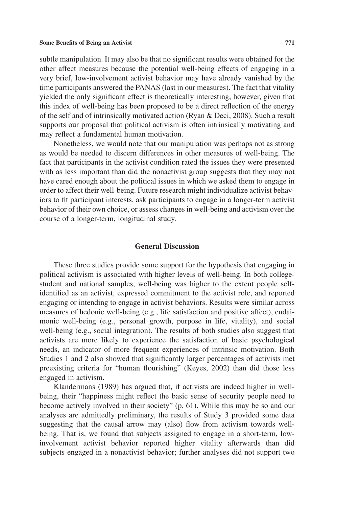subtle manipulation. It may also be that no significant results were obtained for the other affect measures because the potential well-being effects of engaging in a very brief, low-involvement activist behavior may have already vanished by the time participants answered the PANAS (last in our measures). The fact that vitality yielded the only significant effect is theoretically interesting, however, given that this index of well-being has been proposed to be a direct reflection of the energy of the self and of intrinsically motivated action (Ryan & Deci, 2008). Such a result supports our proposal that political activism is often intrinsically motivating and may reflect a fundamental human motivation.

Nonetheless, we would note that our manipulation was perhaps not as strong as would be needed to discern differences in other measures of well-being. The fact that participants in the activist condition rated the issues they were presented with as less important than did the nonactivist group suggests that they may not have cared enough about the political issues in which we asked them to engage in order to affect their well-being. Future research might individualize activist behaviors to fit participant interests, ask participants to engage in a longer-term activist behavior of their own choice, or assess changes in well-being and activism over the course of a longer-term, longitudinal study.

## **General Discussion**

These three studies provide some support for the hypothesis that engaging in political activism is associated with higher levels of well-being. In both collegestudent and national samples, well-being was higher to the extent people selfidentified as an activist, expressed commitment to the activist role, and reported engaging or intending to engage in activist behaviors. Results were similar across measures of hedonic well-being (e.g., life satisfaction and positive affect), eudaimonic well-being (e.g., personal growth, purpose in life, vitality), and social well-being (e.g., social integration). The results of both studies also suggest that activists are more likely to experience the satisfaction of basic psychological needs, an indicator of more frequent experiences of intrinsic motivation. Both Studies 1 and 2 also showed that significantly larger percentages of activists met preexisting criteria for "human flourishing" (Keyes, 2002) than did those less engaged in activism.

Klandermans (1989) has argued that, if activists are indeed higher in wellbeing, their "happiness might reflect the basic sense of security people need to become actively involved in their society" (p. 61). While this may be so and our analyses are admittedly preliminary, the results of Study 3 provided some data suggesting that the causal arrow may (also) flow from activism towards wellbeing. That is, we found that subjects assigned to engage in a short-term, lowinvolvement activist behavior reported higher vitality afterwards than did subjects engaged in a nonactivist behavior; further analyses did not support two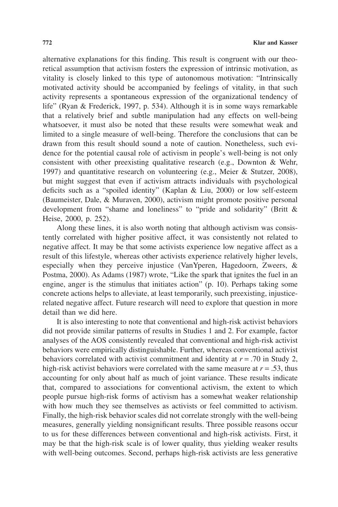alternative explanations for this finding. This result is congruent with our theoretical assumption that activism fosters the expression of intrinsic motivation, as vitality is closely linked to this type of autonomous motivation: "Intrinsically motivated activity should be accompanied by feelings of vitality, in that such activity represents a spontaneous expression of the organizational tendency of life" (Ryan & Frederick, 1997, p. 534). Although it is in some ways remarkable that a relatively brief and subtle manipulation had any effects on well-being whatsoever, it must also be noted that these results were somewhat weak and limited to a single measure of well-being. Therefore the conclusions that can be drawn from this result should sound a note of caution. Nonetheless, such evidence for the potential causal role of activism in people's well-being is not only consistent with other preexisting qualitative research (e.g., Downton & Wehr, 1997) and quantitative research on volunteering (e.g., Meier & Stutzer, 2008), but might suggest that even if activism attracts individuals with psychological deficits such as a "spoiled identity" (Kaplan & Liu, 2000) or low self-esteem (Baumeister, Dale, & Muraven, 2000), activism might promote positive personal development from "shame and loneliness" to "pride and solidarity" (Britt & Heise, 2000, p. 252).

Along these lines, it is also worth noting that although activism was consistently correlated with higher positive affect, it was consistently not related to negative affect. It may be that some activists experience low negative affect as a result of this lifestyle, whereas other activists experience relatively higher levels, especially when they perceive injustice (VanYperen, Hagedoorn, Zweers, & Postma, 2000). As Adams (1987) wrote, "Like the spark that ignites the fuel in an engine, anger is the stimulus that initiates action" (p. 10). Perhaps taking some concrete actions helps to alleviate, at least temporarily, such preexisting, injusticerelated negative affect. Future research will need to explore that question in more detail than we did here.

It is also interesting to note that conventional and high-risk activist behaviors did not provide similar patterns of results in Studies 1 and 2. For example, factor analyses of the AOS consistently revealed that conventional and high-risk activist behaviors were empirically distinguishable. Further, whereas conventional activist behaviors correlated with activist commitment and identity at *r* = .70 in Study 2, high-risk activist behaviors were correlated with the same measure at  $r = .53$ , thus accounting for only about half as much of joint variance. These results indicate that, compared to associations for conventional activism, the extent to which people pursue high-risk forms of activism has a somewhat weaker relationship with how much they see themselves as activists or feel committed to activism. Finally, the high-risk behavior scales did not correlate strongly with the well-being measures, generally yielding nonsignificant results. Three possible reasons occur to us for these differences between conventional and high-risk activists. First, it may be that the high-risk scale is of lower quality, thus yielding weaker results with well-being outcomes. Second, perhaps high-risk activists are less generative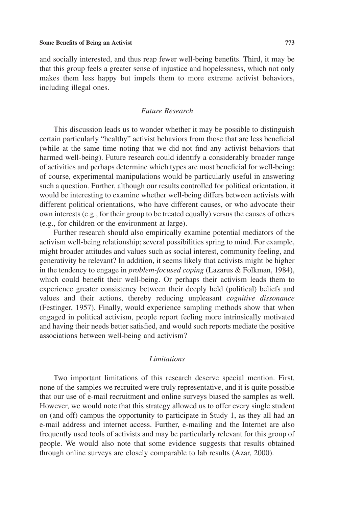and socially interested, and thus reap fewer well-being benefits. Third, it may be that this group feels a greater sense of injustice and hopelessness, which not only makes them less happy but impels them to more extreme activist behaviors, including illegal ones.

# *Future Research*

This discussion leads us to wonder whether it may be possible to distinguish certain particularly "healthy" activist behaviors from those that are less beneficial (while at the same time noting that we did not find any activist behaviors that harmed well-being). Future research could identify a considerably broader range of activities and perhaps determine which types are most beneficial for well-being; of course, experimental manipulations would be particularly useful in answering such a question. Further, although our results controlled for political orientation, it would be interesting to examine whether well-being differs between activists with different political orientations, who have different causes, or who advocate their own interests (e.g., for their group to be treated equally) versus the causes of others (e.g., for children or the environment at large).

Further research should also empirically examine potential mediators of the activism well-being relationship; several possibilities spring to mind. For example, might broader attitudes and values such as social interest, community feeling, and generativity be relevant? In addition, it seems likely that activists might be higher in the tendency to engage in *problem-focused coping* (Lazarus & Folkman, 1984), which could benefit their well-being. Or perhaps their activism leads them to experience greater consistency between their deeply held (political) beliefs and values and their actions, thereby reducing unpleasant *cognitive dissonance* (Festinger, 1957). Finally, would experience sampling methods show that when engaged in political activism, people report feeling more intrinsically motivated and having their needs better satisfied, and would such reports mediate the positive associations between well-being and activism?

## *Limitations*

Two important limitations of this research deserve special mention. First, none of the samples we recruited were truly representative, and it is quite possible that our use of e-mail recruitment and online surveys biased the samples as well. However, we would note that this strategy allowed us to offer every single student on (and off) campus the opportunity to participate in Study 1, as they all had an e-mail address and internet access. Further, e-mailing and the Internet are also frequently used tools of activists and may be particularly relevant for this group of people. We would also note that some evidence suggests that results obtained through online surveys are closely comparable to lab results (Azar, 2000).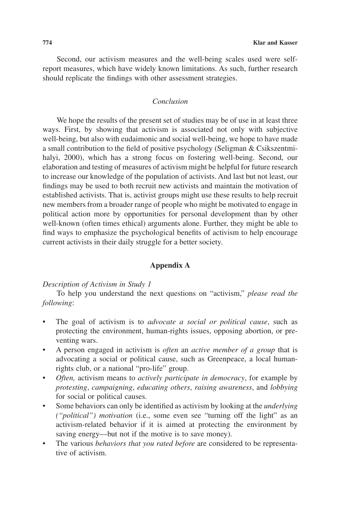Second, our activism measures and the well-being scales used were selfreport measures, which have widely known limitations. As such, further research should replicate the findings with other assessment strategies.

# *Conclusion*

We hope the results of the present set of studies may be of use in at least three ways. First, by showing that activism is associated not only with subjective well-being, but also with eudaimonic and social well-being, we hope to have made a small contribution to the field of positive psychology (Seligman & Csikszentmihalyi, 2000), which has a strong focus on fostering well-being. Second, our elaboration and testing of measures of activism might be helpful for future research to increase our knowledge of the population of activists. And last but not least, our findings may be used to both recruit new activists and maintain the motivation of established activists. That is, activist groups might use these results to help recruit new members from a broader range of people who might be motivated to engage in political action more by opportunities for personal development than by other well-known (often times ethical) arguments alone. Further, they might be able to find ways to emphasize the psychological benefits of activism to help encourage current activists in their daily struggle for a better society.

# **Appendix A**

# *Description of Activism in Study 1*

To help you understand the next questions on "activism," *please read the following*:

- The goal of activism is to *advocate a social or political cause*, such as protecting the environment, human-rights issues, opposing abortion, or preventing wars.
- A person engaged in activism is *often* an *active member of a group* that is advocating a social or political cause, such as Greenpeace, a local humanrights club, or a national "pro-life" group.
- *Often,* activism means to *actively participate in democracy*, for example by *protesting*, *campaigning*, *educating others*, *raising awareness*, and *lobbying* for social or political causes.
- Some behaviors can only be identified as activism by looking at the *underlying ("political") motivation* (i.e., some even see "turning off the light" as an activism-related behavior if it is aimed at protecting the environment by saving energy—but not if the motive is to save money).
- The various *behaviors that you rated before* are considered to be representative of activism.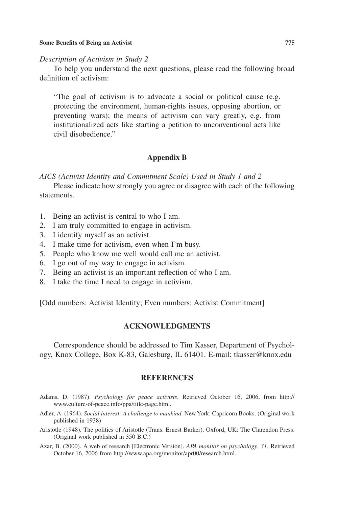#### *Description of Activism in Study 2*

To help you understand the next questions, please read the following broad definition of activism:

"The goal of activism is to advocate a social or political cause (e.g. protecting the environment, human-rights issues, opposing abortion, or preventing wars); the means of activism can vary greatly, e.g. from institutionalized acts like starting a petition to unconventional acts like civil disobedience."

# **Appendix B**

*AICS (Activist Identity and Commitment Scale) Used in Study 1 and 2*

Please indicate how strongly you agree or disagree with each of the following statements.

- 1. Being an activist is central to who I am.
- 2. I am truly committed to engage in activism.
- 3. I identify myself as an activist.
- 4. I make time for activism, even when I'm busy.
- 5. People who know me well would call me an activist.
- 6. I go out of my way to engage in activism.
- 7. Being an activist is an important reflection of who I am.
- 8. I take the time I need to engage in activism.

[Odd numbers: Activist Identity; Even numbers: Activist Commitment]

# **ACKNOWLEDGMENTS**

Correspondence should be addressed to Tim Kasser, Department of Psychology, Knox College, Box K-83, Galesburg, IL 61401. E-mail: tkasser@knox.edu

# **REFERENCES**

- Adams, D. (1987). *Psychology for peace activists*. Retrieved October 16, 2006, from http:// www.culture-of-peace.info/ppa/title-page.html.
- Adler, A. (1964). *Social interest: A challenge to mankind*. New York: Capricorn Books. (Original work published in 1938)
- Aristotle (1948). The politics of Aristotle (Trans. Ernest Barker). Oxford, UK: The Clarendon Press. (Original work published in 350 B.C.)
- Azar, B. (2000). A web of research [Electronic Version]. *APA monitor on psychology*, *31*. Retrieved October 16, 2006 from http://www.apa.org/monitor/apr00/research.html.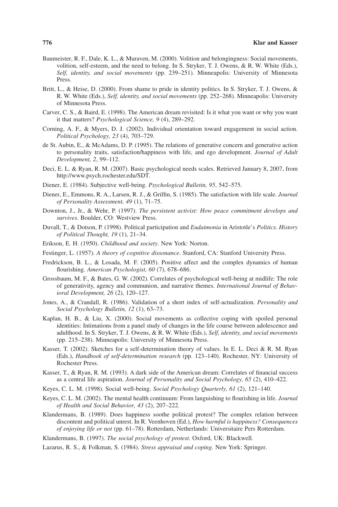- Baumeister, R. F., Dale, K. L., & Muraven, M. (2000). Volition and belongingness: Social movements, volition, self-esteem, and the need to belong. In S. Stryker, T. J. Owens, & R. W. White (Eds.), *Self, identity, and social movements* (pp. 239–251). Minneapolis: University of Minnesota Press.
- Britt, L., & Heise, D. (2000). From shame to pride in identity politics. In S. Stryker, T. J. Owens, & R. W. White (Eds.), *Self, identity, and social movements* (pp. 252–268). Minneapolis: University of Minnesota Press.
- Carver, C. S., & Baird, E. (1998). The American dream revisited: Is it what you want or why you want it that matters? *Psychological Science, 9* (4), 289–292.
- Corning, A. F., & Myers, D. J. (2002). Individual orientation toward engagement in social action. *Political Psychology, 23* (4), 703–729.
- de St. Aubin, E., & McAdams, D. P. (1995). The relations of generative concern and generative action to personality traits, satisfaction/happiness with life, and ego development. *Journal of Adult Development, 2*, 99–112.
- Deci, E. L. & Ryan, R. M. (2007). Basic psychological needs scales. Retrieved January 8, 2007, from http://www.psych.rochester.edu/SDT.
- Diener, E. (1984). Subjective well-being. *Psychological Bulletin, 95*, 542–575.
- Diener, E., Emmons, R. A., Larsen, R. J., & Griffin, S. (1985). The satisfaction with life scale. *Journal of Personality Assessment, 49* (1), 71–75.
- Downton, J., Jr., & Wehr, P. (1997). *The persistent activist: How peace commitment develops and survives*. Boulder, CO: Westview Press.
- Duvall, T., & Dotson, P. (1998). Political participation and *Eudaimonia* in Aristotle's *Politics*. *History of Political Thought, 19* (1), 21–34.
- Erikson, E. H. (1950). *Childhood and society*. New York: Norton.
- Festinger, L. (1957). *A theory of cognitive dissonance*. Stanford, CA: Stanford University Press.
- Fredrickson, B. L., & Losada, M. F. (2005). Positive affect and the complex dynamics of human flourishing. *American Psychologist, 60* (7), 678–686.
- Grossbaum, M. F., & Bates, G. W. (2002). Correlates of psychological well-being at midlife: The role of generativity, agency and communion, and narrative themes. *International Journal of Behavioral Development, 26* (2), 120–127.
- Jones, A., & Crandall, R. (1986). Validation of a short index of self-actualization. *Personality and Social Psychology Bulletin, 12* (1), 63–73.
- Kaplan, H. B., & Liu, X. (2000). Social movements as collective coping with spoiled personal identities: Intimations from a panel study of changes in the life course between adolescence and adulthood. In S. Stryker, T. J. Owens, & R. W. White (Eds.), *Self, identity, and social movements* (pp. 215–238). Minneapolis: University of Minnesota Press.
- Kasser, T. (2002). Sketches for a self-determination theory of values. In E. L. Deci & R. M. Ryan (Eds.), *Handbook of self-determination research* (pp. 123–140). Rochester, NY: University of Rochester Press.
- Kasser, T., & Ryan, R. M. (1993). A dark side of the American dream: Correlates of financial success as a central life aspiration. *Journal of Personality and Social Psychology, 65* (2), 410–422.
- Keyes, C. L. M. (1998). Social well-being. *Social Psychology Quarterly, 61* (2), 121–140.
- Keyes, C. L. M. (2002). The mental health continuum: From languishing to flourishing in life. *Journal of Health and Social Behavior, 43* (2), 207–222.
- Klandermans, B. (1989). Does happiness soothe political protest? The complex relation between discontent and political unrest. In R. Veenhoven (Ed.), *How harmful is happiness? Consequences of enjoying life or not* (pp. 61–78). Rotterdam, Netherlands: Universitaire Pers Rotterdam.

Klandermans, B. (1997). *The social psychology of protest*. Oxford, UK: Blackwell.

Lazarus, R. S., & Folkman, S. (1984). *Stress appraisal and coping*. New York: Springer.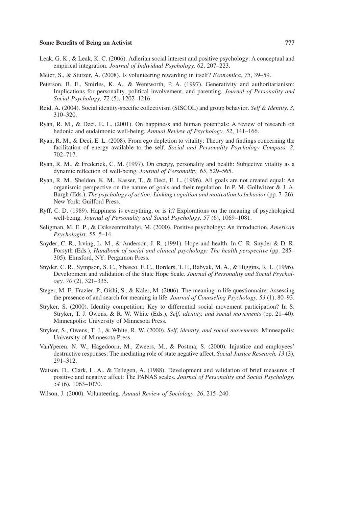- Leak, G. K., & Leak, K. C. (2006). Adlerian social interest and positive psychology: A conceptual and empirical integration. *Journal of Individual Psychology, 62*, 207–223.
- Meier, S., & Stutzer, A. (2008). Is volunteering rewarding in itself? *Economica, 75*, 39–59.
- Peterson, B. E., Smirles, K. A., & Wentworth, P. A. (1997). Generativity and authoritarianism: Implications for personality, political involvement, and parenting. *Journal of Personality and Social Psychology, 72* (5), 1202–1216.
- Reid, A. (2004). Social identity-specific collectivism (SISCOL) and group behavior. *Self & Identity, 3*, 310–320.
- Ryan, R. M., & Deci, E. L. (2001). On happiness and human potentials: A review of research on hedonic and eudaimonic well-being. *Annual Review of Psychology, 52*, 141–166.
- Ryan, R. M., & Deci, E. L. (2008). From ego depletion to vitality: Theory and findings concerning the facilitation of energy available to the self. *Social and Personality Psychology Compass, 2*, 702–717.
- Ryan, R. M., & Frederick, C. M. (1997). On energy, personality and health: Subjective vitality as a dynamic reflection of well-being. *Journal of Personality, 65*, 529–565.
- Ryan, R. M., Sheldon, K. M., Kasser, T., & Deci, E. L. (1996). All goals are not created equal: An organismic perspective on the nature of goals and their regulation. In P. M. Gollwitzer & J. A. Bargh (Eds.), *The psychology of action: Linking cognition and motivation to behavior* (pp. 7–26). New York: Guilford Press.
- Ryff, C. D. (1989). Happiness is everything, or is it? Explorations on the meaning of psychological well-being. *Journal of Personality and Social Psychology, 57* (6), 1069–1081.
- Seligman, M. E. P., & Csikszentmihalyi, M. (2000). Positive psychology: An introduction. *American Psychologist, 55*, 5–14.
- Snyder, C. R., Irving, L. M., & Anderson, J. R. (1991). Hope and health. In C. R. Snyder & D. R. Forsyth (Eds.), *Handbook of social and clinical psychology: The health perspective* (pp. 285– 305). Elmsford, NY: Pergamon Press.
- Snyder, C. R., Sympson, S. C., Ybasco, F. C., Borders, T. F., Babyak, M. A., & Higgins, R. L. (1996). Development and validation of the State Hope Scale. *Journal of Personality and Social Psychology, 70* (2), 321–335.
- Steger, M. F., Frazier, P., Oishi, S., & Kaler, M. (2006). The meaning in life questionnaire: Assessing the presence of and search for meaning in life. *Journal of Counseling Psychology, 53* (1), 80–93.
- Stryker, S. (2000). Identity competition: Key to differential social movement participation? In S. Stryker, T. J. Owens, & R. W. White (Eds.), *Self, identity, and social movements* (pp. 21–40). Minneapolis: University of Minnesota Press.
- Stryker, S., Owens, T. J., & White, R. W. (2000). *Self, identity, and social movements*. Minneapolis: University of Minnesota Press.
- VanYperen, N. W., Hagedoorn, M., Zweers, M., & Postma, S. (2000). Injustice and employees' destructive responses: The mediating role of state negative affect. *Social Justice Research, 13* (3), 291–312.
- Watson, D., Clark, L. A., & Tellegen, A. (1988). Development and validation of brief measures of positive and negative affect: The PANAS scales. *Journal of Personality and Social Psychology, 54* (6), 1063–1070.
- Wilson, J. (2000). Volunteering. *Annual Review of Sociology, 26*, 215–240.